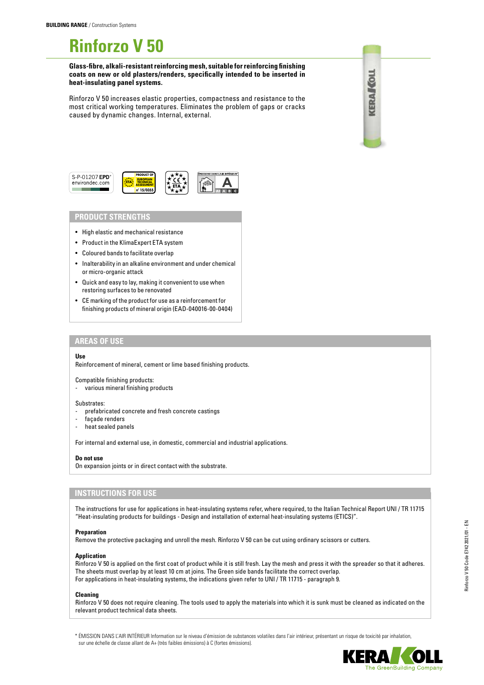# **Rinforzo V 50**

**Glass-fibre, alkali-resistant reinforcing mesh, suitable for reinforcing finishing coats on new or old plasters/renders, specifically intended to be inserted in heat-insulating panel systems.**

Rinforzo V 50 increases elastic properties, compactness and resistance to the most critical working temperatures. Eliminates the problem of gaps or cracks caused by dynamic changes. Internal, external.





## **PRODUCT STRENGTHS**

- High elastic and mechanical resistance
- Product in the KlimaExpert ETA system
- Coloured bands to facilitate overlap
- Inalterability in an alkaline environment and under chemical or micro-organic attack
- Quick and easy to lay, making it convenient to use when restoring surfaces to be renovated
- CE marking of the product for use as a reinforcement for finishing products of mineral origin (EAD-040016-00-0404)

## **AREAS OF USE**

#### **Use**

Reinforcement of mineral, cement or lime based finishing products.

Compatible finishing products:

various mineral finishing products

#### Substrates:

- prefabricated concrete and fresh concrete castings
- façade renders
- heat sealed panels

For internal and external use, in domestic, commercial and industrial applications.

## **Do not use**

On expansion joints or in direct contact with the substrate.

## **INSTRUCTIONS FOR USE**

The instructions for use for applications in heat-insulating systems refer, where required, to the Italian Technical Report UNI / TR 11715 "Heat-insulating products for buildings - Design and installation of external heat-insulating systems (ETICS)".

## **Preparation**

Remove the protective packaging and unroll the mesh. Rinforzo V 50 can be cut using ordinary scissors or cutters.

## **Application**

Rinforzo V 50 is applied on the first coat of product while it is still fresh. Lay the mesh and press it with the spreader so that it adheres. The sheets must overlap by at least 10 cm at joins. The Green side bands facilitate the correct overlap. For applications in heat-insulating systems, the indications given refer to UNI / TR 11715 - paragraph 9.

## **Cleaning**

Rinforzo V 50 does not require cleaning. The tools used to apply the materials into which it is sunk must be cleaned as indicated on the relevant product technical data sheets.

\* ÉMISSION DANS L'AIR INTÉRIEUR Information sur le niveau d'émission de substances volatiles dans l'air intérieur, présentant un risque de toxicité par inhalation, sur une échelle de classe allant de A+ (très faibles émissions) à C (fortes émissions).